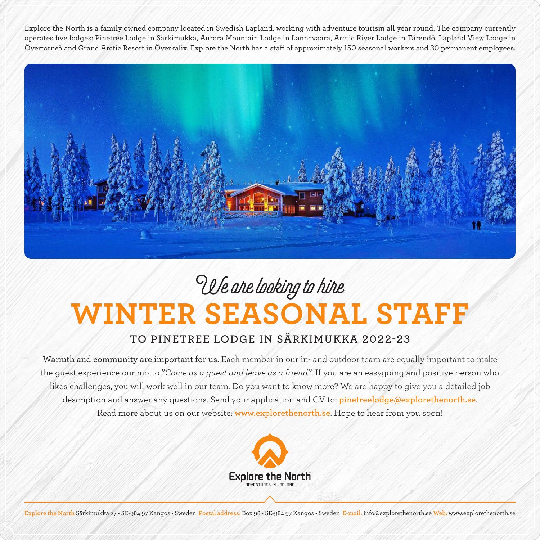Explore the North is a family owned company located in Swedish Lapland, working with adventure tourism all year round. The company currently operates five lodges: Pinetree Lodge in Särkimukka, Aurora Mountain Lodge in Lannavaara, Arctic River Lodge in Tärendö, Lapland View Lodge in Övertorneå and Grand Arctic Resort in Överkalix. Explore the North has a staff of approximately 150 seasonal workers and 30 permanent employees.



## **WINTER SEASONAL STAFF** We are looking to hire

## **TO PINETREE LODGE IN SÄRKIMUKKA 2022-23**

Warmth and community are important for us. Each member in our in- and outdoor team are equally important to make the guest experience our motto "*Come as a guest and leave as a friend"*. If you are an easygoing and positive person who likes challenges, you will work well in our team. Do you want to know more? We are happy to give you a detailed job description and answer any questions. Send your application and CV to: **pinetreelodge@explorethenorth.se**. Read more about us on our website: **www.explorethenorth.se**. Hope to hear from you soon!